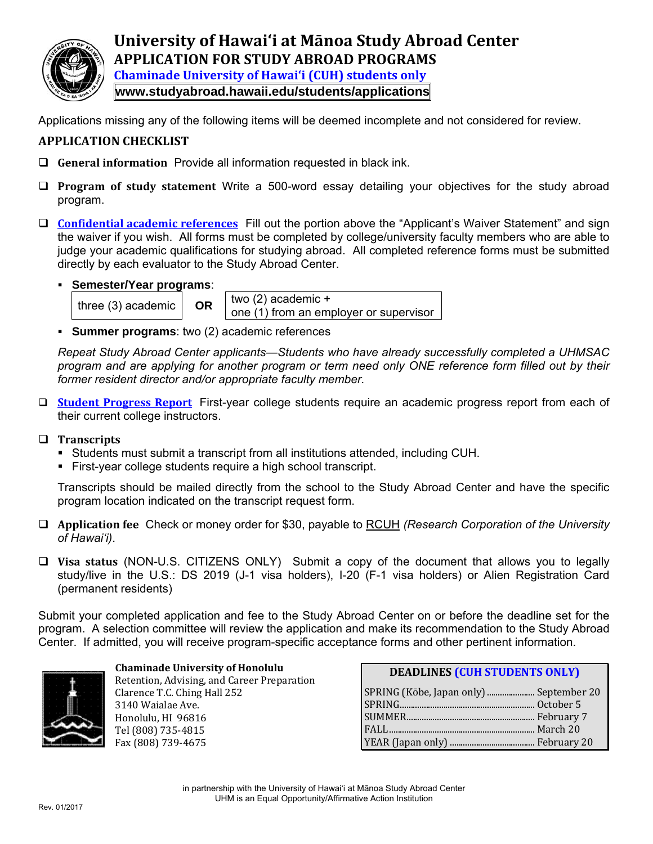

**University of Hawai'i at Mānoa Study Abroad Center APPLICATION FOR STUDY ABROAD PROGRAMS Chaminade University of Hawai'i (CUH) students only www.studyabroad.hawaii.edu/students/applications**

Applications missing any of the following items will be deemed incomplete and not considered for review.

# **APPLICATION CHECKLIST**

- **General information** Provide all information requested in black ink.
- **Program of study statement** Write a 500-word essay detailing your objectives for the study abroad program.
- **Confidential academic references** Fill out the portion above the "Applicant's Waiver Statement" and sign the waiver if you wish. All forms must be completed by college/university faculty members who are able to judge your academic qualifications for studying abroad. All completed reference forms must be submitted directly by each evaluator to the Study Abroad Center.





three (3) academic  $\overline{OR}$  **OR**  $\overline{(}$  two (2) academic + one (1) from an employer or supervisor

**Summer programs**: two (2) academic references

*Repeat Study Abroad Center applicants—Students who have already successfully completed a UHMSAC program and are applying for another program or term need only ONE reference form filled out by their former resident director and/or appropriate faculty member.* 

- **Student Progress Report** First-year college students require an academic progress report from each of their current college instructors.
- **Transcripts**
	- Students must submit a transcript from all institutions attended, including CUH.
	- First-year college students require a high school transcript.

Transcripts should be mailed directly from the school to the Study Abroad Center and have the specific program location indicated on the transcript request form.

- **Application fee** Check or money order for \$30, payable to RCUH *(Research Corporation of the University of Hawai'i)*.
- **Visa status** (NON-U.S. CITIZENS ONLY) Submit a copy of the document that allows you to legally study/live in the U.S.: DS 2019 (J-1 visa holders), I-20 (F-1 visa holders) or Alien Registration Card (permanent residents)

Submit your completed application and fee to the Study Abroad Center on or before the deadline set for the program. A selection committee will review the application and make its recommendation to the Study Abroad Center. If admitted, you will receive program-specific acceptance forms and other pertinent information.



#### **Chaminade University of Honolulu** Retention, Advising, and Ca Clar 314

| Retention, Advising, and Career Preparation |
|---------------------------------------------|
| Clarence T.C. Ching Hall 252                |
| 3140 Waialae Ave.                           |
| Honolulu, HI 96816                          |
| Tel (808) 735-4815                          |
| Fax (808) 739-4675                          |
|                                             |

| <b>DEADLINES (CUH STUDENTS ONLY)</b>    |  |
|-----------------------------------------|--|
| SPRING (Kōbe, Japan only)  September 20 |  |
|                                         |  |
|                                         |  |
|                                         |  |
|                                         |  |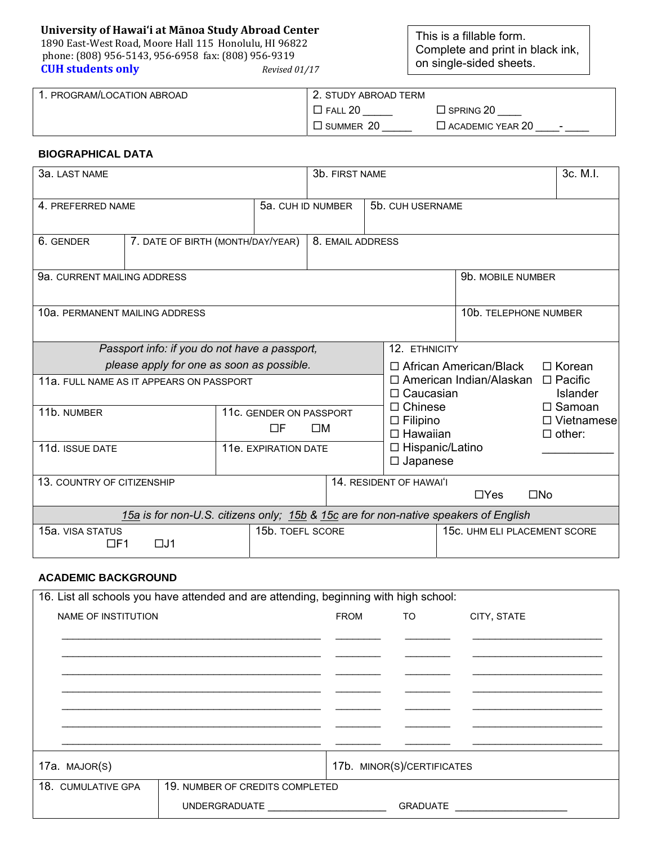# **University of Hawai'i at Mānoa Study Abroad Center**

1890 East‐West Road, Moore Hall 115 Honolulu, HI 96822 phone: (808) 956‐5143, 956‐6958 fax: (808) 956‐9319 **CUH students only** *Revised 01/17*

This is a fillable form. Complete and print in black ink, on single-sided sheets.

| 1. PROGRAM/LOCATION ABROAD | . 2. STUDY ABROAD TERM |                                   |  |
|----------------------------|------------------------|-----------------------------------|--|
|                            | FALL                   | $\Box$ SPRING 20                  |  |
|                            | $\square$ summer 20    | $\Box$ ACADEMIC YEAR 20<br>$\sim$ |  |

### **BIOGRAPHICAL DATA**

| 3a. LAST NAME                                                                       |                                           |                                                       | 3b. FIRST NAME                                        |                  |                                                                 |                                                |                   | 3c. M.I.                     |                                                     |  |
|-------------------------------------------------------------------------------------|-------------------------------------------|-------------------------------------------------------|-------------------------------------------------------|------------------|-----------------------------------------------------------------|------------------------------------------------|-------------------|------------------------------|-----------------------------------------------------|--|
| 4. PREFERRED NAME<br>5a. CUH ID NUMBER                                              |                                           |                                                       |                                                       |                  | 5b. CUH USERNAME                                                |                                                |                   |                              |                                                     |  |
| 6. GENDER                                                                           |                                           | 7. DATE OF BIRTH (MONTH/DAY/YEAR)<br>8. EMAIL ADDRESS |                                                       |                  |                                                                 |                                                |                   |                              |                                                     |  |
| 9a. CURRENT MAILING ADDRESS                                                         |                                           |                                                       |                                                       |                  |                                                                 |                                                | 9b. MOBILE NUMBER |                              |                                                     |  |
| 10a. PERMANENT MAILING ADDRESS                                                      |                                           |                                                       | 10b. TELEPHONE NUMBER                                 |                  |                                                                 |                                                |                   |                              |                                                     |  |
| Passport info: if you do not have a passport,                                       |                                           |                                                       | 12. ETHNICITY                                         |                  |                                                                 |                                                |                   |                              |                                                     |  |
|                                                                                     | please apply for one as soon as possible. |                                                       |                                                       |                  |                                                                 | $\Box$ African American/Black<br>$\Box$ Korean |                   |                              |                                                     |  |
| 11a. FULL NAME AS IT APPEARS ON PASSPORT                                            |                                           |                                                       |                                                       |                  | □ American Indian/Alaskan<br>$\Box$ Pacific<br>$\Box$ Caucasian |                                                |                   | Islander                     |                                                     |  |
| 11b. NUMBER                                                                         |                                           | 11c. GENDER ON PASSPORT<br>ПF                         | ПM                                                    |                  | $\Box$ Chinese<br>$\Box$ Filipino<br>$\Box$ Hawaiian            |                                                |                   |                              | $\Box$ Samoan<br>$\Box$ Vietnamese<br>$\Box$ other: |  |
| 11d. ISSUE DATE                                                                     |                                           | 11e. EXPIRATION DATE                                  |                                                       |                  |                                                                 | □ Hispanic/Latino<br>$\Box$ Japanese           |                   |                              |                                                     |  |
| 13. COUNTRY OF CITIZENSHIP                                                          |                                           |                                                       | 14. RESIDENT OF HAWAI'I<br>$\Box$ Yes<br>$\square$ No |                  |                                                                 |                                                |                   |                              |                                                     |  |
| 15a is for non-U.S. citizens only; 15b & 15c are for non-native speakers of English |                                           |                                                       |                                                       |                  |                                                                 |                                                |                   |                              |                                                     |  |
| 15a. VISA STATUS<br>$\Box$ F1                                                       | $\Box$ J1                                 |                                                       |                                                       | 15b. TOEFL SCORE |                                                                 |                                                |                   | 15c. UHM ELI PLACEMENT SCORE |                                                     |  |

## **ACADEMIC BACKGROUND**

| 16. List all schools you have attended and are attending, beginning with high school: |                                           |  |                            |             |
|---------------------------------------------------------------------------------------|-------------------------------------------|--|----------------------------|-------------|
| NAME OF INSTITUTION                                                                   |                                           |  | FROM TO                    | CITY, STATE |
|                                                                                       |                                           |  |                            |             |
|                                                                                       |                                           |  |                            |             |
|                                                                                       |                                           |  |                            |             |
|                                                                                       |                                           |  |                            |             |
|                                                                                       |                                           |  |                            |             |
|                                                                                       |                                           |  |                            |             |
|                                                                                       |                                           |  |                            |             |
| 17a. MAJOR(S)                                                                         |                                           |  | 17b. MINOR(S)/CERTIFICATES |             |
| 18. CUMULATIVE GPA                                                                    | 19. NUMBER OF CREDITS COMPLETED           |  |                            |             |
|                                                                                       | UNDERGRADUATE ___________________________ |  | <b>GRADUATE</b>            |             |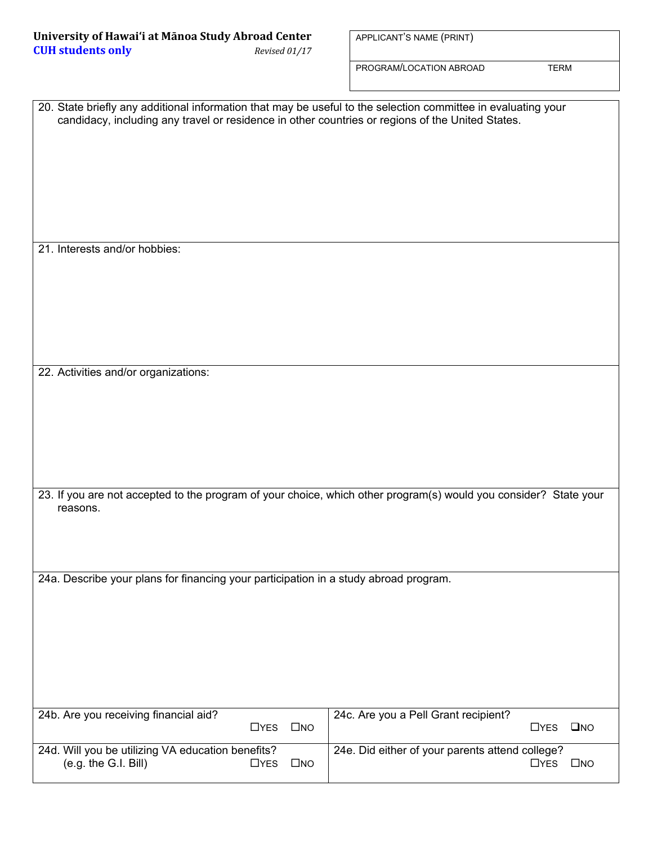| University of Hawai'i at Mānoa Study Abroad Center |               |
|----------------------------------------------------|---------------|
| <b>CUH students only</b>                           | Revised 01/17 |

APPLICANT'S NAME (PRINT)

PROGRAM/LOCATION ABROAD TERM

| 20. State briefly any additional information that may be useful to the selection committee in evaluating your<br>candidacy, including any travel or residence in other countries or regions of the United States. |                                                                                                                       |
|-------------------------------------------------------------------------------------------------------------------------------------------------------------------------------------------------------------------|-----------------------------------------------------------------------------------------------------------------------|
| 21. Interests and/or hobbies:                                                                                                                                                                                     |                                                                                                                       |
| 22. Activities and/or organizations:                                                                                                                                                                              |                                                                                                                       |
| 23. If you are not accepted to the program of your choice, which other program(s) would you consider? State your<br>reasons.                                                                                      |                                                                                                                       |
| 24a. Describe your plans for financing your participation in a study abroad program.                                                                                                                              |                                                                                                                       |
| 24b. Are you receiving financial aid?<br>$\square$ NO<br>$\Box$ YES<br>24d. Will you be utilizing VA education benefits?                                                                                          | 24c. Are you a Pell Grant recipient?<br>$\square$ NO<br>$\Box$ YES<br>24e. Did either of your parents attend college? |
| (e.g. the G.I. Bill)<br>$\Box$ YES<br>$\square$ NO                                                                                                                                                                | $\Box$ YES<br>$\square$ NO                                                                                            |